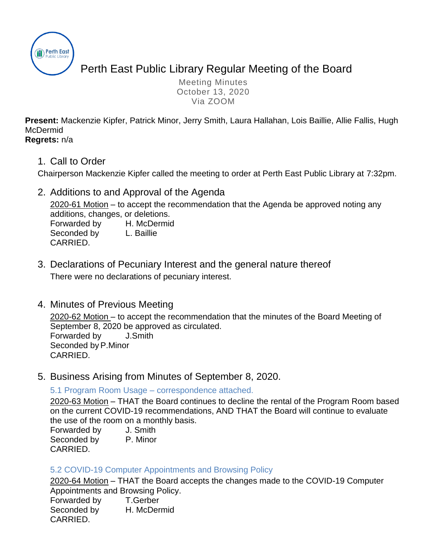

# Perth East Public Library Regular Meeting of the Board

Meeting Minutes October 13, 2020 Via ZOOM

**Present:** Mackenzie Kipfer, Patrick Minor, Jerry Smith, Laura Hallahan, Lois Baillie, Allie Fallis, Hugh McDermid **Regrets:** n/a

1. Call to Order

Chairperson Mackenzie Kipfer called the meeting to order at Perth East Public Library at 7:32pm.

2. Additions to and Approval of the Agenda

2020-61 Motion – to accept the recommendation that the Agenda be approved noting any additions, changes, or deletions.

Forwarded by H. McDermid Seconded by L. Baillie CARRIED.

- 3. Declarations of Pecuniary Interest and the general nature thereof There were no declarations of pecuniary interest.
- 4. Minutes of Previous Meeting

2020-62 Motion – to accept the recommendation that the minutes of the Board Meeting of September 8, 2020 be approved as circulated. Forwarded by J.Smith Seconded by P.Minor CARRIED.

5. Business Arising from Minutes of September 8, 2020.

5.1 Program Room Usage – correspondence attached.

2020-63 Motion – THAT the Board continues to decline the rental of the Program Room based on the current COVID-19 recommendations, AND THAT the Board will continue to evaluate the use of the room on a monthly basis.

| Forwarded by | J. Smith |
|--------------|----------|
| Seconded by  | P. Minor |
| CARRIED.     |          |

#### 5.2 COVID-19 Computer Appointments and Browsing Policy

2020-64 Motion – THAT the Board accepts the changes made to the COVID-19 Computer Appointments and Browsing Policy.

Forwarded by T.Gerber Seconded by H. McDermid CARRIED.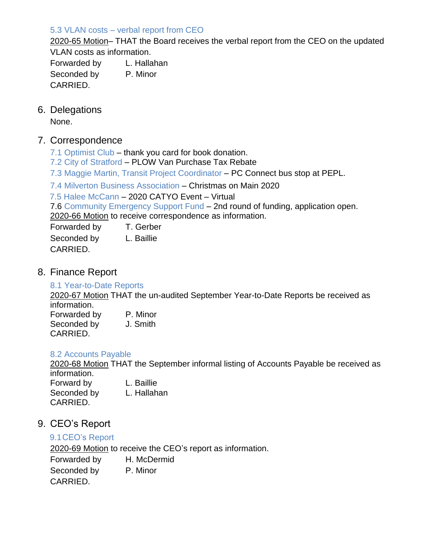#### 5.3 VLAN costs – verbal report from CEO

2020-65 Motion– THAT the Board receives the verbal report from the CEO on the updated VLAN costs as information.

Forwarded by L. Hallahan Seconded by P. Minor CARRIED.

#### 6. Delegations

None.

#### 7. Correspondence

- 7.1 Optimist Club thank you card for book donation.
- 7.2 City of Stratford PLOW Van Purchase Tax Rebate

7.3 Maggie Martin, Transit Project Coordinator – PC Connect bus stop at PEPL.

7.4 Milverton Business Association – Christmas on Main 2020

7.5 Halee McCann – 2020 CATYO Event – Virtual

7.6 Community Emergency Support Fund – 2nd round of funding, application open. 2020-66 Motion to receive correspondence as information.

Forwarded by T. Gerber

Seconded by L. Baillie CARRIED.

8. Finance Report

#### 8.1 Year-to-Date Reports

2020-67 Motion THAT the un-audited September Year-to-Date Reports be received as information.

Forwarded by P. Minor Seconded by J. Smith CARRIED.

#### 8.2 Accounts Payable

2020-68 Motion THAT the September informal listing of Accounts Payable be received as information.

Forward by L. Baillie Seconded by L. Hallahan CARRIED.

### 9. CEO's Report

#### 9.1CEO's Report

2020-69 Motion to receive the CEO's report as information.

Forwarded by H. McDermid Seconded by P. Minor CARRIED.